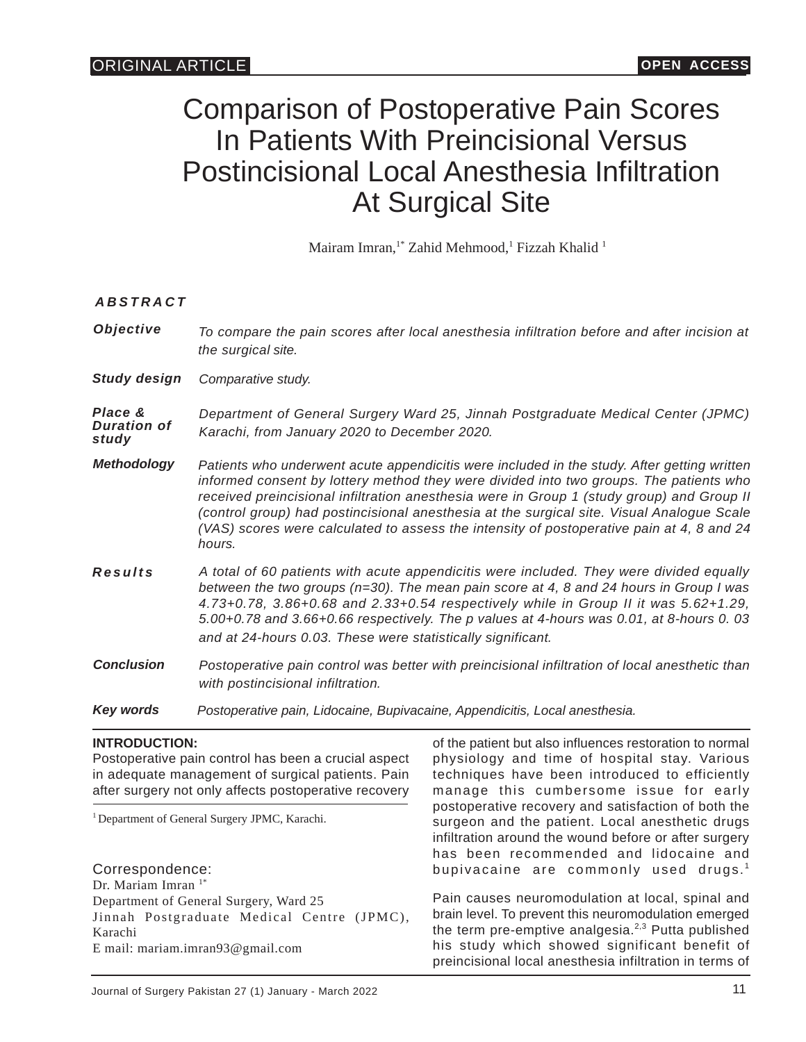# Comparison of Postoperative Pain Scores In Patients With Preincisional Versus Postincisional Local Anesthesia Infiltration At Surgical Site

Mairam Imran,<sup>1\*</sup> Zahid Mehmood,<sup>1</sup> Fizzah Khalid <sup>1</sup>

## *ABSTRACT*

*Objective Study design Comparative study. Place & Duration of study Methodology Key words Conclusion Results Department of General Surgery Ward 25, Jinnah Postgraduate Medical Center (JPMC) Karachi, from January 2020 to December 2020. Postoperative pain control was better with preincisional infiltration of local anesthetic than with postincisional infiltration. Patients who underwent acute appendicitis were included in the study. After getting written informed consent by lottery method they were divided into two groups. The patients who received preincisional infiltration anesthesia were in Group 1 (study group) and Group II (control group) had postincisional anesthesia at the surgical site. Visual Analogue Scale (VAS) scores were calculated to assess the intensity of postoperative pain at 4, 8 and 24 hours. To compare the pain scores after local anesthesia infiltration before and after incision at the surgical site. A total of 60 patients with acute appendicitis were included. They were divided equally between the two groups (n=30). The mean pain score at 4, 8 and 24 hours in Group I was 4.73+0.78, 3.86+0.68 and 2.33+0.54 respectively while in Group II it was 5.62+1.29, 5.00+0.78 and 3.66+0.66 respectively. The p values at 4-hours was 0.01, at 8-hours 0. 03 and at 24-hours 0.03. These were statistically significant. Postoperative pain, Lidocaine, Bupivacaine, Appendicitis, Local anesthesia.*

## **INTRODUCTION:**

Postoperative pain control has been a crucial aspect in adequate management of surgical patients. Pain after surgery not only affects postoperative recovery

<sup>1</sup> Department of General Surgery JPMC, Karachi.

Correspondence: Dr. Mariam Imran<sup>1\*</sup> Department of General Surgery, Ward 25 Jinnah Postgraduate Medical Centre (JPMC), Karachi E mail: mariam.imran93@gmail.com

of the patient but also influences restoration to normal physiology and time of hospital stay. Various techniques have been introduced to efficiently manage this cumbersome issue for early postoperative recovery and satisfaction of both the surgeon and the patient. Local anesthetic drugs infiltration around the wound before or after surgery has been recommended and lidocaine and bupivacaine are commonly used drugs.<sup>1</sup>

Pain causes neuromodulation at local, spinal and brain level. To prevent this neuromodulation emerged the term pre-emptive analgesia. $2,3$  Putta published his study which showed significant benefit of preincisional local anesthesia infiltration in terms of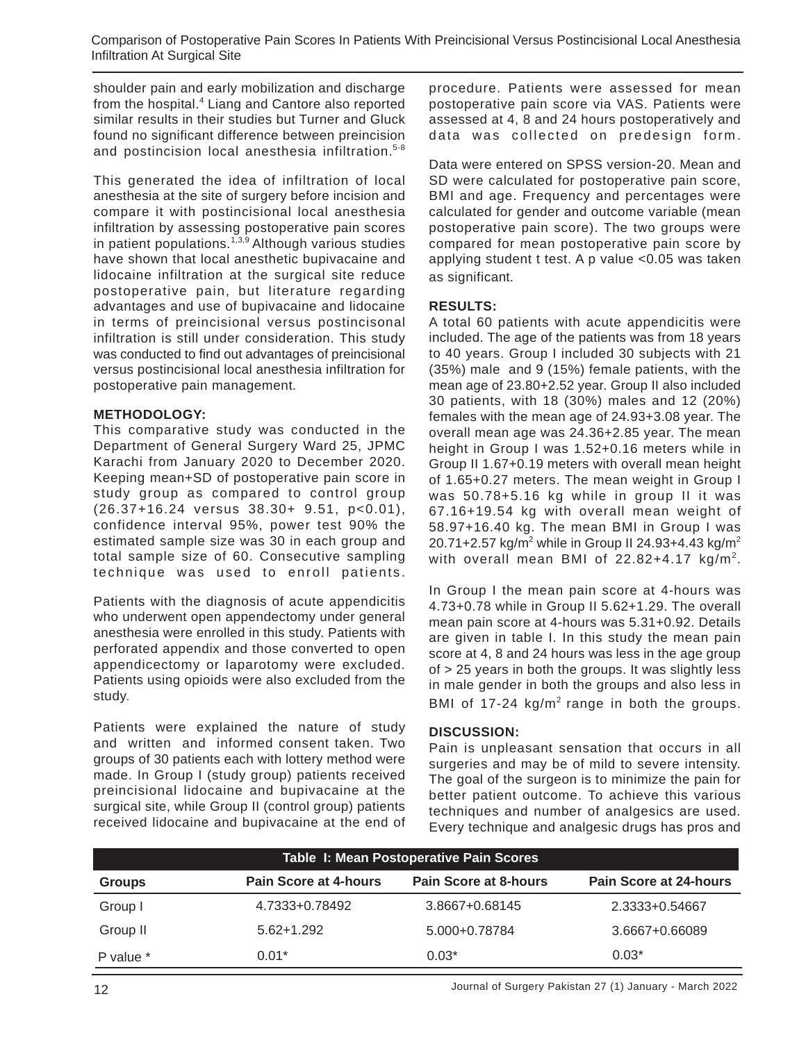shoulder pain and early mobilization and discharge from the hospital.<sup>4</sup> Liang and Cantore also reported similar results in their studies but Turner and Gluck found no significant difference between preincision and postincision local anesthesia infiltration. 5-8

This generated the idea of infiltration of local anesthesia at the site of surgery before incision and compare it with postincisional local anesthesia infiltration by assessing postoperative pain scores in patient populations.<sup> $1,3,9$ </sup> Although various studies have shown that local anesthetic bupivacaine and lidocaine infiltration at the surgical site reduce postoperative pain, but literature regarding advantages and use of bupivacaine and lidocaine in terms of preincisional versus postincisonal infiltration is still under consideration. This study was conducted to find out advantages of preincisional versus postincisional local anesthesia infiltration for postoperative pain management.

## **METHODOLOGY:**

This comparative study was conducted in the Department of General Surgery Ward 25, JPMC Karachi from January 2020 to December 2020. Keeping mean+SD of postoperative pain score in study group as compared to control group (26.37+16.24 versus 38.30+ 9.51, p<0.01), confidence interval 95%, power test 90% the estimated sample size was 30 in each group and total sample size of 60. Consecutive sampling technique was used to enroll patients .

Patients with the diagnosis of acute appendicitis who underwent open appendectomy under general anesthesia were enrolled in this study. Patients with perforated appendix and those converted to open appendicectomy or laparotomy were excluded. Patients using opioids were also excluded from the study.

Patients were explained the nature of study and written and informed consent taken. Two groups of 30 patients each with lottery method were made. In Group I (study group) patients received preincisional lidocaine and bupivacaine at the surgical site, while Group II (control group) patients received lidocaine and bupivacaine at the end of procedure. Patients were assessed for mean postoperative pain score via VAS. Patients were assessed at 4, 8 and 24 hours postoperatively and data was collected on predesign form.

Data were entered on SPSS version-20. Mean and SD were calculated for postoperative pain score, BMI and age. Frequency and percentages were calculated for gender and outcome variable (mean postoperative pain score). The two groups were compared for mean postoperative pain score by applying student t test. A p value <0.05 was taken as significant.

## **RESULTS:**

A total 60 patients with acute appendicitis were included. The age of the patients was from 18 years to 40 years. Group I included 30 subjects with 21 (35%) male and 9 (15%) female patients, with the mean age of 23.80+2.52 year. Group II also included 30 patients, with 18 (30%) males and 12 (20%) females with the mean age of 24.93+3.08 year. The overall mean age was 24.36+2.85 year. The mean height in Group I was 1.52+0.16 meters while in Group II 1.67+0.19 meters with overall mean height of 1.65+0.27 meters. The mean weight in Group I was 50.78+5.16 kg while in group II it was 67.16+19.54 kg with overall mean weight of 58.97+16.40 kg. The mean BMI in Group I was 20.71+2.57 kg/m<sup>2</sup> while in Group II 24.93+4.43 kg/m<sup>2</sup> with overall mean BMI of  $22.82+4.17$  kg/m<sup>2</sup>.

In Group I the mean pain score at 4-hours was 4.73+0.78 while in Group II 5.62+1.29. The overall mean pain score at 4-hours was 5.31+0.92. Details are given in table I. In this study the mean pain score at 4, 8 and 24 hours was less in the age group of > 25 years in both the groups. It was slightly less in male gender in both the groups and also less in BMI of  $17-24 \text{ kg/m}^2$  range in both the groups.

## **DISCUSSION:**

Pain is unpleasant sensation that occurs in all surgeries and may be of mild to severe intensity. The goal of the surgeon is to minimize the pain for better patient outcome. To achieve this various techniques and number of analgesics are used. Every technique and analgesic drugs has pros and

| Table I: Mean Postoperative Pain Scores |                              |                              |                               |
|-----------------------------------------|------------------------------|------------------------------|-------------------------------|
| <b>Groups</b>                           | <b>Pain Score at 4-hours</b> | <b>Pain Score at 8-hours</b> | <b>Pain Score at 24-hours</b> |
| Group I                                 | 4.7333+0.78492               | 3.8667+0.68145               | 2.3333+0.54667                |
| Group II                                | $5.62 + 1.292$               | 5.000+0.78784                | 3.6667+0.66089                |
| P value *                               | $0.01*$                      | $0.03*$                      | $0.03*$                       |

12 Journal of Surgery Pakistan 27 (1) January - March 2022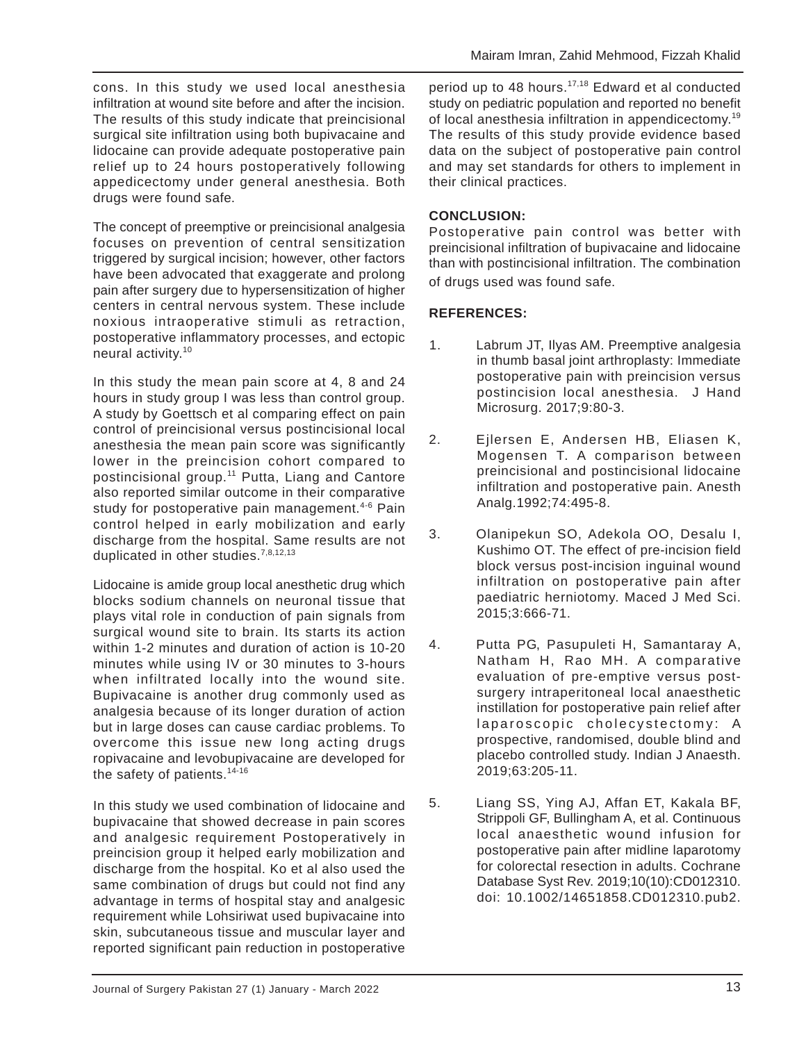cons. In this study we used local anesthesia infiltration at wound site before and after the incision. The results of this study indicate that preincisional surgical site infiltration using both bupivacaine and lidocaine can provide adequate postoperative pain relief up to 24 hours postoperatively following appedicectomy under general anesthesia. Both drugs were found safe.

The concept of preemptive or preincisional analgesia focuses on prevention of central sensitization triggered by surgical incision; however, other factors have been advocated that exaggerate and prolong pain after surgery due to hypersensitization of higher centers in central nervous system. These include noxious intraoperative stimuli as retraction, postoperative inflammatory processes, and ectopic neural activity.<sup>10</sup>

In this study the mean pain score at 4, 8 and 24 hours in study group I was less than control group. A study by Goettsch et al comparing effect on pain control of preincisional versus postincisional local anesthesia the mean pain score was significantly lower in the preincision cohort compared to postincisional group.<sup>11</sup> Putta, Liang and Cantore also reported similar outcome in their comparative study for postoperative pain management.<sup>4-6</sup> Pain control helped in early mobilization and early discharge from the hospital. Same results are not duplicated in other studies.<sup>7,8,12,13</sup>

Lidocaine is amide group local anesthetic drug which blocks sodium channels on neuronal tissue that plays vital role in conduction of pain signals from surgical wound site to brain. Its starts its action within 1-2 minutes and duration of action is 10-20 minutes while using IV or 30 minutes to 3-hours when infiltrated locally into the wound site. Bupivacaine is another drug commonly used as analgesia because of its longer duration of action but in large doses can cause cardiac problems. To overcome this issue new long acting drugs ropivacaine and levobupivacaine are developed for the safety of patients.<sup>14-16</sup>

In this study we used combination of lidocaine and bupivacaine that showed decrease in pain scores and analgesic requirement Postoperatively in preincision group it helped early mobilization and discharge from the hospital. Ko et al also used the same combination of drugs but could not find any advantage in terms of hospital stay and analgesic requirement while Lohsiriwat used bupivacaine into skin, subcutaneous tissue and muscular layer and reported significant pain reduction in postoperative

period up to 48 hours.<sup>17,18</sup> Edward et al conducted study on pediatric population and reported no benefit of local anesthesia infiltration in appendicectomy.<sup>19</sup> The results of this study provide evidence based data on the subject of postoperative pain control and may set standards for others to implement in their clinical practices.

# **CONCLUSION:**

Postoperative pain control was better with preincisional infiltration of bupivacaine and lidocaine than with postincisional infiltration. The combination of drugs used was found safe.

## **REFERENCES:**

- 1. Labrum JT, Ilyas AM. Preemptive analgesia in thumb basal joint arthroplasty: Immediate postoperative pain with preincision versus postincision local anesthesia. J Hand Microsurg. 2017;9:80-3.
- 2. Ejlersen E, Andersen HB, Eliasen K, Mogensen T. A comparison between preincisional and postincisional lidocaine infiltration and postoperative pain. Anesth Analg.1992;74:495-8.
- 3. Olanipekun SO, Adekola OO, Desalu I, Kushimo OT. The effect of pre-incision field block versus post-incision inguinal wound infiltration on postoperative pain after paediatric herniotomy. Maced J Med Sci. 2015;3:666-71.
- 4. Putta PG, Pasupuleti H, Samantaray A, Natham H, Rao MH. A comparative evaluation of pre-emptive versus postsurgery intraperitoneal local anaesthetic instillation for postoperative pain relief after laparoscopic cholecystectomy: A prospective, randomised, double blind and placebo controlled study. Indian J Anaesth. 2019;63:205-11.
- 5. Liang SS, Ying AJ, Affan ET, Kakala BF, Strippoli GF, Bullingham A, et al. Continuous local anaesthetic wound infusion for postoperative pain after midline laparotomy for colorectal resection in adults. Cochrane Database Syst Rev. 2019;10(10):CD012310. doi: 10.1002/14651858.CD012310.pub2.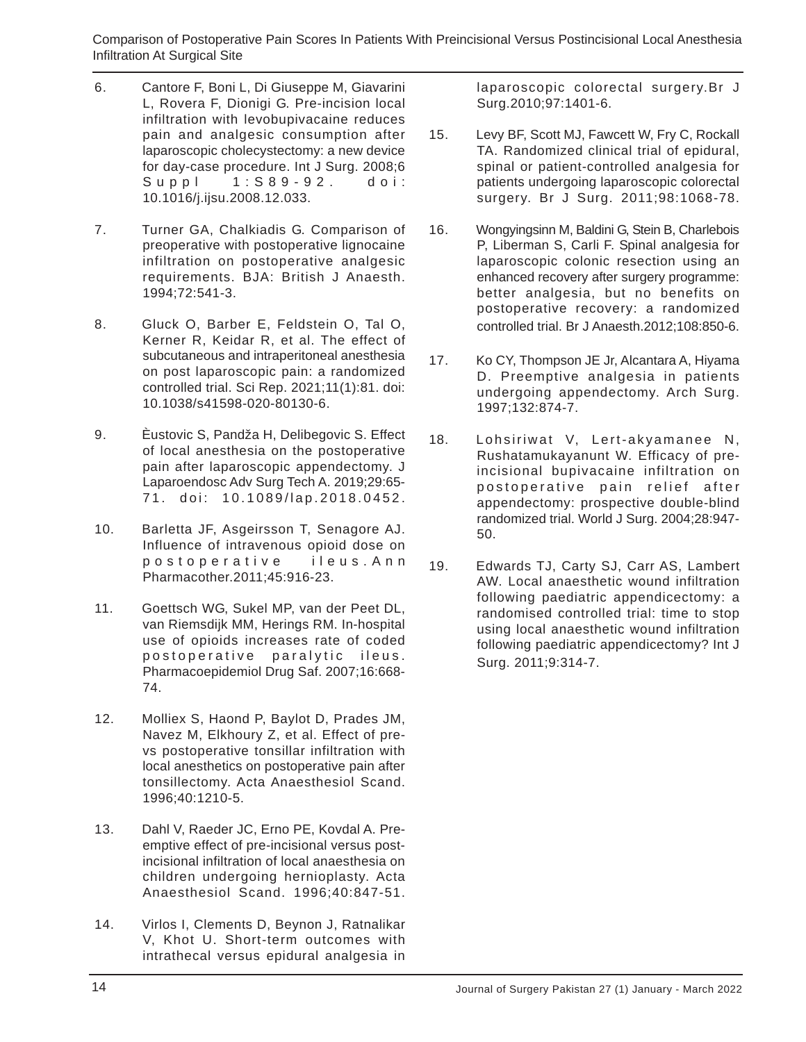Comparison of Postoperative Pain Scores In Patients With Preincisional Versus Postincisional Local Anesthesia Infiltration At Surgical Site

- 6. Cantore F, Boni L, Di Giuseppe M, Giavarini L, Rovera F, Dionigi G. Pre-incision local infiltration with levobupivacaine reduces pain and analgesic consumption after laparoscopic cholecystectomy: a new device for day-case procedure. Int J Surg. 2008;6 Suppl 1:S89-92. doi: 10.1016/j.ijsu.2008.12.033.
- 7. Turner GA, Chalkiadis G. Comparison of preoperative with postoperative lignocaine infiltration on postoperative analgesic requirements. BJA: British J Anaesth. 1994;72:541-3.
- 8. Gluck O, Barber E, Feldstein O, Tal O, Kerner R, Keidar R, et al. The effect of subcutaneous and intraperitoneal anesthesia on post laparoscopic pain: a randomized controlled trial. Sci Rep. 2021;11(1):81. doi: 10.1038/s41598-020-80130-6.
- 9. Èustovic S, Pandža H, Delibegovic S. Effect of local anesthesia on the postoperative pain after laparoscopic appendectomy. J Laparoendosc Adv Surg Tech A. 2019;29:65- 71. doi: 10.1089/lap.2018.0452.
- 10. Barletta JF, Asgeirsson T, Senagore AJ. Influence of intravenous opioid dose on postoperative ileus.Ann Pharmacother.2011;45:916-23.
- 11. Goettsch WG, Sukel MP, van der Peet DL, van Riemsdijk MM, Herings RM. In-hospital use of opioids increases rate of coded postoperative paralytic ileus. Pharmacoepidemiol Drug Saf. 2007;16:668- 74.
- 12. Molliex S, Haond P, Baylot D, Prades JM, Navez M, Elkhoury Z, et al. Effect of prevs postoperative tonsillar infiltration with local anesthetics on postoperative pain after tonsillectomy. Acta Anaesthesiol Scand. 1996;40:1210-5.
- 13. Dahl V, Raeder JC, Erno PE, Kovdal A. Preemptive effect of pre-incisional versus postincisional infiltration of local anaesthesia on children undergoing hernioplasty. Acta Anaesthesiol Scand. 1996;40:847-51.
- 14. Virlos I, Clements D, Beynon J, Ratnalikar V, Khot U. Short-term outcomes with intrathecal versus epidural analgesia in

laparoscopic colorectal surgery.Br J Surg.2010;97:1401-6.

- 15. Levy BF, Scott MJ, Fawcett W, Fry C, Rockall TA. Randomized clinical trial of epidural, spinal or patient-controlled analgesia for patients undergoing laparoscopic colorectal surgery. Br J Surg. 2011;98:1068-78.
- 16. Wongyingsinn M, Baldini G, Stein B, Charlebois P, Liberman S, Carli F. Spinal analgesia for laparoscopic colonic resection using an enhanced recovery after surgery programme: better analgesia, but no benefits on postoperative recovery: a randomized controlled trial. Br J Anaesth.2012;108:850-6.
- 17. Ko CY, Thompson JE Jr, Alcantara A, Hiyama D. Preemptive analgesia in patients undergoing appendectomy. Arch Surg. 1997;132:874-7.
- 18. Lohsiriwat V, Lert-akyamanee N, Rushatamukayanunt W. Efficacy of preincisional bupivacaine infiltration on postoperative pain relief after appendectomy: prospective double-blind randomized trial. World J Surg. 2004;28:947- 50.
- 19. Edwards TJ, Carty SJ, Carr AS, Lambert AW. Local anaesthetic wound infiltration following paediatric appendicectomy: a randomised controlled trial: time to stop using local anaesthetic wound infiltration following paediatric appendicectomy? Int J Surg. 2011;9:314-7.